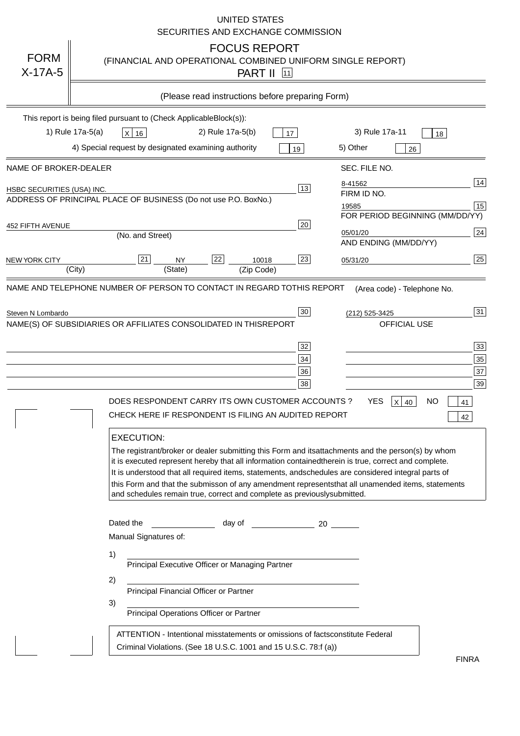|                                   | <b>UNITED STATES</b><br>SECURITIES AND EXCHANGE COMMISSION                                                                                                                                                                                                                                                                                                                                                                                                                                                                                                                                                                                                                                                                                                                                                                                                               |
|-----------------------------------|--------------------------------------------------------------------------------------------------------------------------------------------------------------------------------------------------------------------------------------------------------------------------------------------------------------------------------------------------------------------------------------------------------------------------------------------------------------------------------------------------------------------------------------------------------------------------------------------------------------------------------------------------------------------------------------------------------------------------------------------------------------------------------------------------------------------------------------------------------------------------|
| <b>FORM</b><br>$X-17A-5$          | <b>FOCUS REPORT</b><br>(FINANCIAL AND OPERATIONAL COMBINED UNIFORM SINGLE REPORT)<br><b>PART II</b> 11                                                                                                                                                                                                                                                                                                                                                                                                                                                                                                                                                                                                                                                                                                                                                                   |
|                                   | (Please read instructions before preparing Form)                                                                                                                                                                                                                                                                                                                                                                                                                                                                                                                                                                                                                                                                                                                                                                                                                         |
|                                   | This report is being filed pursuant to (Check Applicable<br>$Block(s)$ :<br>3) Rule 17a-11<br>1) Rule 17a-5(a)<br>2) Rule 17a-5(b)<br>$X$ 16<br>17<br>18<br>4) Special request by designated examining authority<br>5) Other<br>19<br>26                                                                                                                                                                                                                                                                                                                                                                                                                                                                                                                                                                                                                                 |
| NAME OF BROKER-DEALER             | SEC. FILE NO.                                                                                                                                                                                                                                                                                                                                                                                                                                                                                                                                                                                                                                                                                                                                                                                                                                                            |
| <b>HSBC SECURITIES (USA) INC.</b> | 14<br>8-41562<br>13<br>FIRM ID NO.<br>ADDRESS OF PRINCIPAL PLACE OF BUSINESS (Do not use P.O. Box<br>No.)<br>15<br>19585<br>FOR PERIOD BEGINNING (MM/DD/YY)                                                                                                                                                                                                                                                                                                                                                                                                                                                                                                                                                                                                                                                                                                              |
| <b>452 FIFTH AVENUE</b>           | 20<br>24<br>05/01/20<br>(No. and Street)<br>AND ENDING (MM/DD/YY)                                                                                                                                                                                                                                                                                                                                                                                                                                                                                                                                                                                                                                                                                                                                                                                                        |
| <b>NEW YORK CITY</b>              | 25<br>22<br>21<br>23<br><b>NY</b><br>10018<br>05/31/20<br>(City)<br>(State)<br>(Zip Code)                                                                                                                                                                                                                                                                                                                                                                                                                                                                                                                                                                                                                                                                                                                                                                                |
|                                   | NAME(S) OF SUBSIDIARIES OR AFFILIATES CONSOLIDATED IN THIS<br><b>REPORT</b><br><b>OFFICIAL USE</b><br>$\overline{33}$<br>32<br>35<br>34<br>37<br>36<br>39<br>38<br>DOES RESPONDENT CARRY ITS OWN CUSTOMER ACCOUNTS?<br><b>YES</b><br>$X$ 40<br><b>NO</b><br>41<br>CHECK HERE IF RESPONDENT IS FILING AN AUDITED REPORT<br>42<br><b>EXECUTION:</b><br>The registrant/broker or dealer submitting this Form and its<br>attachments and the person(s) by whom<br>it is executed represent hereby that all information contained<br>therein is true, correct and complete.<br>It is understood that all required items, statements, and<br>schedules are considered integral parts of<br>this Form and that the submisson of any amendment represents<br>that all unamended items, statements<br>and schedules remain true, correct and complete as previously<br>submitted. |
|                                   | Dated the<br>day of<br>20<br>Manual Signatures of:<br>1)<br>Principal Executive Officer or Managing Partner<br>2)<br>Principal Financial Officer or Partner<br>3)<br>Principal Operations Officer or Partner                                                                                                                                                                                                                                                                                                                                                                                                                                                                                                                                                                                                                                                             |
|                                   | ATTENTION - Intentional misstatements or omissions of facts<br>constitute Federal<br>Criminal Violations. (See 18 U.S.C. 1001 and 15 U.S.C. 78:f (a)<br>$\lambda$<br><b>FINRA</b>                                                                                                                                                                                                                                                                                                                                                                                                                                                                                                                                                                                                                                                                                        |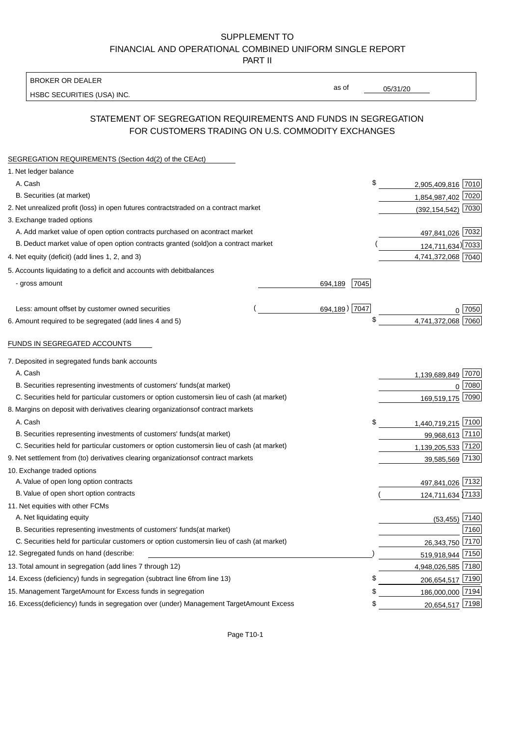### BROKER OR DEALER

HSBC SECURITIES (USA) INC.

05/31/20

as of

# STATEMENT OF SEGREGATION REQUIREMENTS AND FUNDS IN SEGREGATION FOR CUSTOMERS TRADING ON U.S. COMMODITY EXCHANGES

| SEGREGATION REQUIREMENTS (Section 4d(2) of the CEAct)                                          |               |                         |
|------------------------------------------------------------------------------------------------|---------------|-------------------------|
| 1. Net ledger balance                                                                          |               |                         |
| A. Cash                                                                                        | \$            | 2,905,409,816 7010      |
| B. Securities (at market)                                                                      |               | 1,854,987,402 7020      |
| 2. Net unrealized profit (loss) in open futures contracts<br>traded on a contract market       |               | 7030<br>(392, 154, 542) |
| 3. Exchange traded options                                                                     |               |                         |
| A. Add market value of open option contracts purchased on a<br>contract market                 |               | 497,841,026 7032        |
| B. Deduct market value of open option contracts granted (sold)<br>on a contract market         |               | 124,711,634) 7033       |
| 4. Net equity (deficit) (add lines 1, 2, and 3)                                                |               | 4,741,372,068 7040      |
| 5. Accounts liquidating to a deficit and accounts with debit<br>balances                       |               |                         |
| - gross amount<br>694,189                                                                      | 7045          |                         |
| Less: amount offset by customer owned securities                                               | 694,189) 7047 | 0 7050                  |
| 6. Amount required to be segregated (add lines 4 and 5)                                        | \$            | 4,741,372,068 7060      |
| FUNDS IN SEGREGATED ACCOUNTS                                                                   |               |                         |
| 7. Deposited in segregated funds bank accounts                                                 |               |                         |
| A. Cash                                                                                        |               | 1,139,689,849 7070      |
| B. Securities representing investments of customers' funds<br>(at market)                      |               | 7080<br>$\mathbf{0}$    |
| C. Securities held for particular customers or option customers<br>in lieu of cash (at market) |               | 7090<br>169,519,175     |
| 8. Margins on deposit with derivatives clearing organizations<br>of contract markets           |               |                         |
| A. Cash                                                                                        | \$            | 1,440,719,215 7100      |
| B. Securities representing investments of customers' funds<br>(at market)                      |               | 99,968,613 7110         |
| C. Securities held for particular customers or option customers<br>in lieu of cash (at market) |               | 1,139,205,533 7120      |
| 9. Net settlement from (to) derivatives clearing organizations<br>of contract markets          |               | 39,585,569 7130         |
| 10. Exchange traded options                                                                    |               |                         |
| A. Value of open long option contracts                                                         |               | 497,841,026 7132        |
| B. Value of open short option contracts                                                        |               | 124,711,634 7133        |
| 11. Net equities with other FCMs                                                               |               |                         |
| A. Net liquidating equity                                                                      |               | $(53, 455)$ 7140        |
| B. Securities representing investments of customers' funds<br>(at market)                      |               | 7160                    |
| C. Securities held for particular customers or option customers<br>in lieu of cash (at market) |               | 26,343,750 7170         |
| 12. Segregated funds on hand (describe:                                                        |               | 519,918,944 7150        |
| 13. Total amount in segregation (add lines 7 through 12)                                       |               | 4,948,026,585 7180      |
| 14. Excess (deficiency) funds in segregation (subtract line 6<br>from line 13)                 | \$            | 206,654,517 7190        |
| 15. Management Target Amount for Excess funds in segregation                                   | S             | 186,000,000 7194        |
| 16. Excess (deficiency) funds in segregation over (under) Management Target Amount Excess      | \$            | 20,654,517 7198         |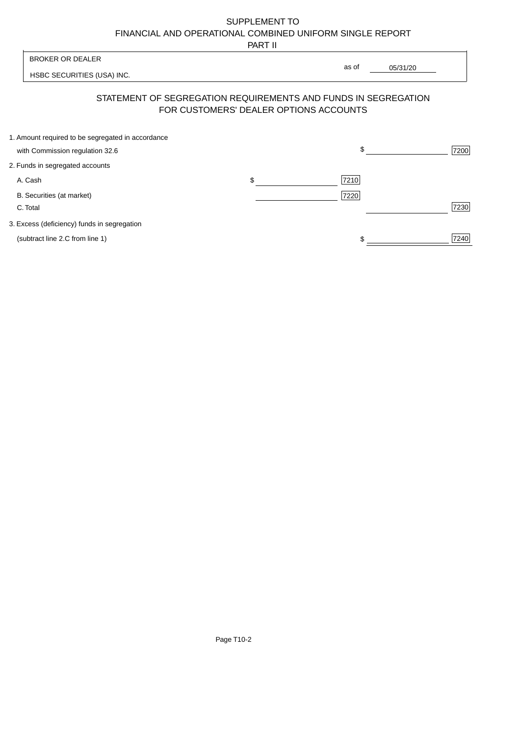PART II

|                                                                | .  |                                        |          |      |
|----------------------------------------------------------------|----|----------------------------------------|----------|------|
| <b>BROKER OR DEALER</b>                                        |    | as of                                  |          |      |
| HSBC SECURITIES (USA) INC.                                     |    |                                        | 05/31/20 |      |
| STATEMENT OF SEGREGATION REQUIREMENTS AND FUNDS IN SEGREGATION |    | FOR CUSTOMERS' DEALER OPTIONS ACCOUNTS |          |      |
| 1. Amount required to be segregated in accordance              |    |                                        |          |      |
| with Commission regulation 32.6                                |    | \$                                     |          | 7200 |
| 2. Funds in segregated accounts                                |    |                                        |          |      |
| A. Cash                                                        | \$ | 7210                                   |          |      |
| B. Securities (at market)                                      |    | 7220                                   |          |      |
| C. Total                                                       |    |                                        |          | 7230 |
| 3. Excess (deficiency) funds in segregation                    |    |                                        |          |      |
| (subtract line 2.C from line 1)                                |    |                                        |          | 7240 |
|                                                                |    |                                        |          |      |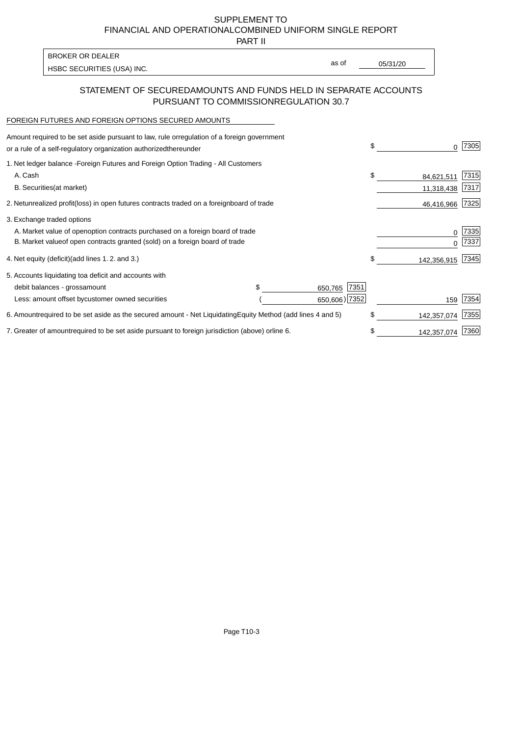PART II

| <b>BROKER OR DEALER</b>    |       |          |
|----------------------------|-------|----------|
|                            | as of | 05/31/20 |
| HSBC SECURITIES (USA) INC. |       |          |

## STATEMENT OF SECURED AMOUNTS AND FUNDS HELD IN SEPARATE ACCOUNTS PURSUANT TO COMMISSION REGULATION 30.7

#### FOREIGN FUTURES AND FOREIGN OPTIONS SECURED AMOUNTS

| Amount required to be set aside pursuant to law, rule or regulation of a foreign government<br>or a rule of a self-regulatory organization authorized<br>thereunder                          |                                   |                                  | \$ | 0                        | 7305          |
|----------------------------------------------------------------------------------------------------------------------------------------------------------------------------------------------|-----------------------------------|----------------------------------|----|--------------------------|---------------|
| 1. Net ledger balance - Foreign Futures and Foreign Option Trading - All Customers<br>A. Cash<br><b>B.</b> Securities<br>(at market)                                                         |                                   |                                  | \$ | 84,621,511<br>11,318,438 | 7315<br> 7317 |
| 2. Net unrealized profit (loss) in open futures contracts traded on a foreign                                                                                                                | board of trade                    |                                  |    | 46,416,966 7325          |               |
| 3. Exchange traded options<br>A. Market value of open option contracts purchased on a foreign board of trade<br>B. Market value of open contracts granted (sold) on a foreign board of trade |                                   |                                  |    | 0                        | 7335<br>7337  |
| (add lines 1.2. and 3.)<br>4. Net equity (deficit)                                                                                                                                           |                                   |                                  | S  | 142,356,915 7345         |               |
| 5. Accounts liquidating to a deficit and accounts with<br>debit balances - gross<br>amount<br>Less: amount offset by customer owned securities                                               |                                   | 7351<br>650,765<br>650,606) 7352 |    | 159                      | 7354          |
| 6. Amount required to be set aside as the secured amount - Net Liquidating                                                                                                                   | Equity Method (add lines 4 and 5) |                                  | \$ | 142,357,074              | 7355          |
| 7. Greater of amount required to be set aside pursuant to foreign jurisdiction (above) or                                                                                                    | line 6.                           |                                  | \$ | 142,357,074              | 7360          |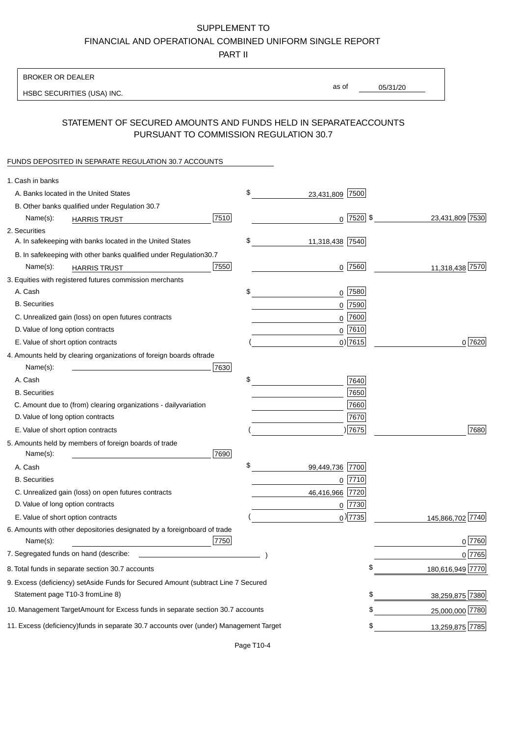PART II

| <b>BROKER OR DEALER</b>                                                                           |                       |                 |                  |
|---------------------------------------------------------------------------------------------------|-----------------------|-----------------|------------------|
| HSBC SECURITIES (USA) INC.                                                                        | as of                 | 05/31/20        |                  |
|                                                                                                   |                       |                 |                  |
| STATEMENT OF SECURED AMOUNTS AND FUNDS HELD IN SEPARATE<br>PURSUANT TO COMMISSION REGULATION 30.7 |                       | <b>ACCOUNTS</b> |                  |
| FUNDS DEPOSITED IN SEPARATE REGULATION 30.7 ACCOUNTS                                              |                       |                 |                  |
| 1. Cash in banks                                                                                  |                       |                 |                  |
| A. Banks located in the United States                                                             | \$<br>23,431,809 7500 |                 |                  |
| B. Other banks qualified under Regulation 30.7                                                    |                       |                 |                  |
| 7510<br>Name(s):<br><b>HARRIS TRUST</b>                                                           | $0$   7520   \$       |                 | 23,431,809 7530  |
| 2. Securities                                                                                     |                       |                 |                  |
| A. In safekeeping with banks located in the United States                                         | \$<br>11,318,438 7540 |                 |                  |
| B. In safekeeping with other banks qualified under Regulation<br>30.7                             |                       |                 |                  |
| 7550<br>Name(s):<br><b>HARRIS TRUST</b>                                                           | $0$ 7560              |                 | 11,318,438 7570  |
| 3. Equities with registered futures commission merchants                                          |                       |                 |                  |
| A. Cash                                                                                           | \$<br>$0$ 7580        |                 |                  |
| <b>B.</b> Securities                                                                              | $0$ 7590              |                 |                  |
| C. Unrealized gain (loss) on open futures contracts                                               | $0$ 7600              |                 |                  |
| D. Value of long option contracts                                                                 | $0$ 7610              |                 |                  |
| E. Value of short option contracts                                                                | $0$ ) 7615            |                 | 0 7620           |
| 4. Amounts held by clearing organizations of foreign boards of<br>trade                           |                       |                 |                  |
| Name(s):<br>7630                                                                                  |                       |                 |                  |
| A. Cash                                                                                           | \$<br>7640            |                 |                  |
| <b>B.</b> Securities                                                                              | 7650                  |                 |                  |
| C. Amount due to (from) clearing organizations - daily<br>variation                               | 7660                  |                 |                  |
| D. Value of long option contracts                                                                 | 7670                  |                 |                  |
| E. Value of short option contracts                                                                | )7675                 |                 | 7680             |
| 5. Amounts held by members of foreign boards of trade<br>Name(s):<br>7690                         |                       |                 |                  |
| A. Cash                                                                                           | \$<br>99,449,736 7700 |                 |                  |
| <b>B.</b> Securities                                                                              | 0 7710                |                 |                  |
| C. Unrealized gain (loss) on open futures contracts                                               | 46,416,966 7720       |                 |                  |
| D. Value of long option contracts                                                                 | 0 7730                |                 |                  |
| E. Value of short option contracts                                                                | $_0$ ) 7735           |                 | 145,866,702 7740 |
| 6. Amounts with other depositories designated by a foreign<br>board of trade<br>7750<br>Name(s):  |                       |                 | 0 7760           |
| 7. Segregated funds on hand (describe:                                                            |                       |                 | 0 7765           |
| 8. Total funds in separate section 30.7 accounts                                                  |                       | \$              | 180,616,949 7770 |
| 9. Excess (deficiency) set Aside Funds for Secured Amount (subtract Line 7 Secured                |                       |                 |                  |
| Statement page T10-3 from Line 8)                                                                 |                       | \$              | 38,259,875 7380  |
|                                                                                                   |                       |                 |                  |
| 10. Management Target Amount for Excess funds in separate section 30.7 accounts                   |                       | \$              | 25,000,000 7780  |
| 11. Excess (deficiency) funds in separate 30.7 accounts over (under) Management Target            |                       | \$              | 13,259,875 7785  |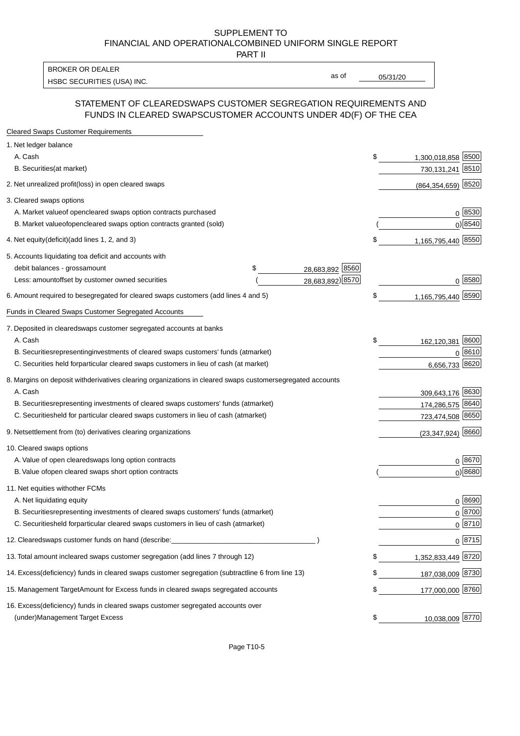PART II

HSBC SECURITIES (USA) INC. The state of the state of the state of the state of the state of the state of the state of the state of the state of the state of the state of the state of the state of the state of the state of BROKER OR DEALER

as of

#### STATEMENT OF CLEARED SWAPS CUSTOMER SEGREGATION REQUIREMENTS AND FUNDS IN CLEARED SWAPS CUSTOMER ACCOUNTS UNDER 4D(F) OF THE CEA

| <b>Cleared Swaps Customer Requirements</b>                                                                  |    |                     |
|-------------------------------------------------------------------------------------------------------------|----|---------------------|
| 1. Net ledger balance                                                                                       |    |                     |
| A. Cash                                                                                                     | \$ | 1,300,018,858 8500  |
| B. Securities (at market)                                                                                   |    | 730,131,241 8510    |
| 2. Net unrealized profit (loss) in open cleared swaps                                                       |    | (864,354,659) 8520  |
| 3. Cleared swaps options                                                                                    |    |                     |
| A. Market value of open cleared swaps option contracts purchased                                            |    | 0   8530            |
| B. Market value of open cleared swaps option contracts granted (sold)                                       |    | $0)$ 8540           |
| 4. Net equity (deficit) (add lines 1, 2, and 3)                                                             | \$ | 1,165,795,440 8550  |
| 5. Accounts liquidating to a deficit and accounts with                                                      |    |                     |
| 28,683,892 8560<br>debit balances - gross<br>\$<br>amount                                                   |    |                     |
| 28,683,892) 8570<br>Less: amount offset by customer owned securities                                        |    | 0 8580              |
| 6. Amount required to be segregated for cleared swaps customers (add lines 4 and 5)                         | S  | 1,165,795,440 8590  |
| Funds in Cleared Swaps Customer Segregated Accounts                                                         |    |                     |
| 7. Deposited in cleared swaps customer segregated accounts at banks                                         |    |                     |
| A. Cash                                                                                                     | \$ | 8600<br>162,120,381 |
| B. Securities representing investments of cleared swaps customers' funds (at market)                        |    | 0 8610              |
| C. Securities held for particular cleared swaps customers in lieu of cash (at market)                       |    | 8620<br>6,656,733   |
| 8. Margins on deposit with derivatives clearing organizations in cleared swaps customer segregated accounts |    |                     |
| A. Cash                                                                                                     |    | 309,643,176 8630    |
| representing investments of cleared swaps customers' funds (at market)<br><b>B.</b> Securities              |    | 174,286,575 8640    |
| C. Securities held for particular cleared swaps customers in lieu of cash (at market)                       |    | 723,474,508 8650    |
| 9. Net settlement from (to) derivatives clearing organizations                                              |    | $(23,347,924)$ 8660 |
| 10. Cleared swaps options                                                                                   |    |                     |
| A. Value of open cleared swaps long option contracts                                                        |    | $0^{8670}$          |
| B. Value of open cleared swaps short option contracts                                                       |    | $0$ ) 8680          |
| 11. Net equities with other FCMs                                                                            |    |                     |
| A. Net liquidating equity                                                                                   |    | $0^{8690}$          |
| B. Securities representing investments of cleared swaps customers' funds (at market)                        |    | $0^{8700}$          |
| C. Securities held for particular cleared swaps customers in lieu of cash (at market)                       |    | 0 8710              |
| 12. Cleared swaps customer funds on hand (describe:                                                         |    | $0 \;  8715 $       |
| 13. Total amount in cleared swaps customer segregation (add lines 7 through 12)                             | S  | 1,352,833,449 8720  |
| 14. Excess (deficiency) funds in cleared swaps customer segregation (subtract line 6 from line 13)          |    | 187,038,009 8730    |
| 15. Management Target Amount for Excess funds in cleared swaps segregated accounts                          | \$ | 177,000,000 8760    |
| 16. Excess<br>(deficiency) funds in cleared swaps customer segregated accounts over                         |    |                     |
| <b>Management Target Excess</b><br>(under)                                                                  | \$ | 10,038,009 8770     |